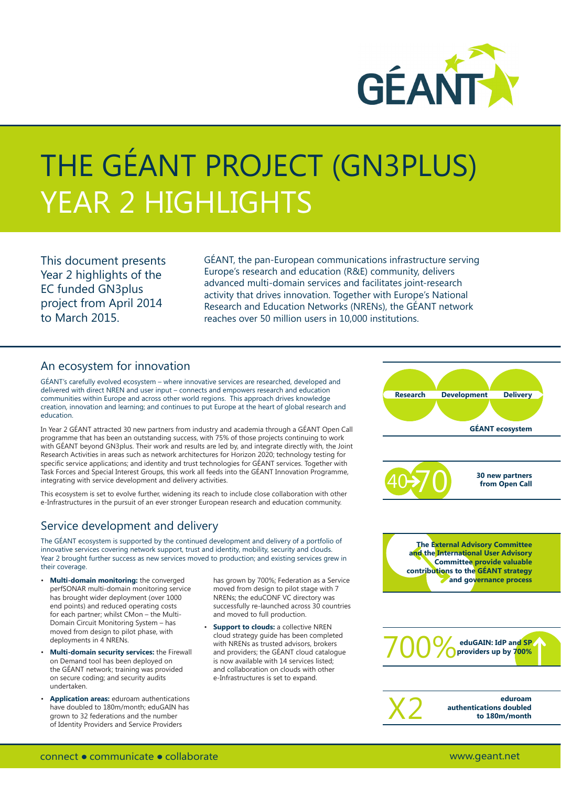

# THE GÉANT PROJECT (GN3PLUS) YEAR 2 HIGHLIGHTS

This document presents Year 2 highlights of the EC funded GN3plus project from April 2014 to March 2015.

GÉANT, the pan-European communications infrastructure serving Europe's research and education (R&E) community, delivers advanced multi-domain services and facilitates joint-research activity that drives innovation. Together with Europe's National Research and Education Networks (NRENs), the GÉANT network reaches over 50 million users in 10,000 institutions.

#### An ecosystem for innovation

GÉANT's carefully evolved ecosystem – where innovative services are researched, developed and delivered with direct NREN and user input – connects and empowers research and education communities within Europe and across other world regions. This approach drives knowledge creation, innovation and learning; and continues to put Europe at the heart of global research and education.

In Year 2 GÉANT attracted 30 new partners from industry and academia through a GÉANT Open Call programme that has been an outstanding success, with 75% of those projects continuing to work with GÉANT beyond GN3plus. Their work and results are led by, and integrate directly with, the Joint Research Activities in areas such as network architectures for Horizon 2020; technology testing for specific service applications; and identity and trust technologies for GÉANT services. Together with Task Forces and Special Interest Groups, this work all feeds into the GÉANT Innovation Programme, integrating with service development and delivery activities.

This ecosystem is set to evolve further, widening its reach to include close collaboration with other e-Infrastructures in the pursuit of an ever stronger European research and education community.

## Service development and delivery

The GÉANT ecosystem is supported by the continued development and delivery of a portfolio of innovative services covering network support, trust and identity, mobility, security and clouds. Year 2 brought further success as new services moved to production; and existing services grew in their coverage.

- **Multi-domain monitoring:** the converged perfSONAR multi-domain monitoring service has brought wider deployment (over 1000 end points) and reduced operating costs for each partner; whilst CMon – the Multi-Domain Circuit Monitoring System – has moved from design to pilot phase, with deployments in 4 NRENs.
- **Multi-domain security services:** the Firewall on Demand tool has been deployed on the GÉANT network; training was provided on secure coding; and security audits undertaken.
- **Application areas:** eduroam authentications have doubled to 180m/month; eduGAIN has grown to 32 federations and the number of Identity Providers and Service Providers

has grown by 700%; Federation as a Service moved from design to pilot stage with 7 NRENs; the eduCONF VC directory was successfully re-launched across 30 countries and moved to full production.

**Support to clouds:** a collective NREN cloud strategy guide has been completed with NRENs as trusted advisors, brokers and providers; the GÉANT cloud catalogue is now available with 14 services listed; and collaboration on clouds with other e-Infrastructures is set to expand.